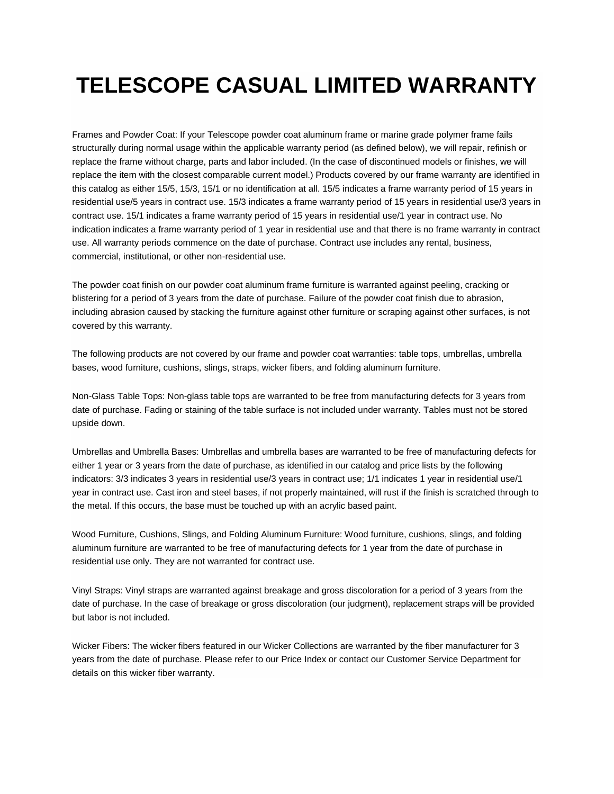## **TELESCOPE CASUAL LIMITED WARRANTY**

Frames and Powder Coat: If your Telescope powder coat aluminum frame or marine grade polymer frame fails structurally during normal usage within the applicable warranty period (as defined below), we will repair, refinish or replace the frame without charge, parts and labor included. (In the case of discontinued models or finishes, we will replace the item with the closest comparable current model.) Products covered by our frame warranty are identified in this catalog as either 15/5, 15/3, 15/1 or no identification at all. 15/5 indicates a frame warranty period of 15 years in residential use/5 years in contract use. 15/3 indicates a frame warranty period of 15 years in residential use/3 years in contract use. 15/1 indicates a frame warranty period of 15 years in residential use/1 year in contract use. No indication indicates a frame warranty period of 1 year in residential use and that there is no frame warranty in contract use. All warranty periods commence on the date of purchase. Contract use includes any rental, business, commercial, institutional, or other non-residential use.

The powder coat finish on our powder coat aluminum frame furniture is warranted against peeling, cracking or blistering for a period of 3 years from the date of purchase. Failure of the powder coat finish due to abrasion, including abrasion caused by stacking the furniture against other furniture or scraping against other surfaces, is not covered by this warranty.

The following products are not covered by our frame and powder coat warranties: table tops, umbrellas, umbrella bases, wood furniture, cushions, slings, straps, wicker fibers, and folding aluminum furniture.

Non-Glass Table Tops: Non-glass table tops are warranted to be free from manufacturing defects for 3 years from date of purchase. Fading or staining of the table surface is not included under warranty. Tables must not be stored upside down.

Umbrellas and Umbrella Bases: Umbrellas and umbrella bases are warranted to be free of manufacturing defects for either 1 year or 3 years from the date of purchase, as identified in our catalog and price lists by the following indicators: 3/3 indicates 3 years in residential use/3 years in contract use; 1/1 indicates 1 year in residential use/1 year in contract use. Cast iron and steel bases, if not properly maintained, will rust if the finish is scratched through to the metal. If this occurs, the base must be touched up with an acrylic based paint.

Wood Furniture, Cushions, Slings, and Folding Aluminum Furniture: Wood furniture, cushions, slings, and folding aluminum furniture are warranted to be free of manufacturing defects for 1 year from the date of purchase in residential use only. They are not warranted for contract use.

Vinyl Straps: Vinyl straps are warranted against breakage and gross discoloration for a period of 3 years from the date of purchase. In the case of breakage or gross discoloration (our judgment), replacement straps will be provided but labor is not included.

Wicker Fibers: The wicker fibers featured in our Wicker Collections are warranted by the fiber manufacturer for 3 years from the date of purchase. Please refer to our Price Index or contact our Customer Service Department for details on this wicker fiber warranty.